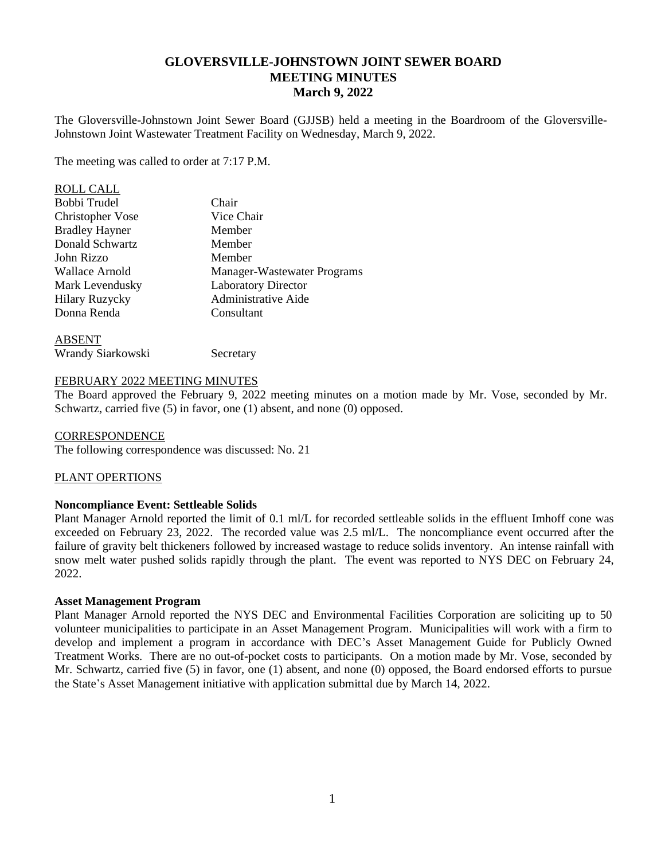# **GLOVERSVILLE-JOHNSTOWN JOINT SEWER BOARD MEETING MINUTES March 9, 2022**

The Gloversville-Johnstown Joint Sewer Board (GJJSB) held a meeting in the Boardroom of the Gloversville-Johnstown Joint Wastewater Treatment Facility on Wednesday, March 9, 2022.

The meeting was called to order at 7:17 P.M.

| <b>ROLL CALL</b>        |                             |
|-------------------------|-----------------------------|
| Bobbi Trudel            | Chair                       |
| <b>Christopher Vose</b> | Vice Chair                  |
| <b>Bradley Hayner</b>   | Member                      |
| Donald Schwartz         | Member                      |
| John Rizzo              | Member                      |
| Wallace Arnold          | Manager-Wastewater Programs |
| Mark Levendusky         | <b>Laboratory Director</b>  |
| <b>Hilary Ruzycky</b>   | <b>Administrative Aide</b>  |
| Donna Renda             | Consultant                  |
| <b>ARCENT</b>           |                             |

| ADJER I |                   |
|---------|-------------------|
|         | Wrandy Siarkowski |

Secretary

# FEBRUARY 2022 MEETING MINUTES

The Board approved the February 9, 2022 meeting minutes on a motion made by Mr. Vose, seconded by Mr. Schwartz, carried five (5) in favor, one (1) absent, and none (0) opposed.

#### **CORRESPONDENCE**

The following correspondence was discussed: No. 21

#### PLANT OPERTIONS

#### **Noncompliance Event: Settleable Solids**

Plant Manager Arnold reported the limit of 0.1 ml/L for recorded settleable solids in the effluent Imhoff cone was exceeded on February 23, 2022. The recorded value was 2.5 ml/L. The noncompliance event occurred after the failure of gravity belt thickeners followed by increased wastage to reduce solids inventory. An intense rainfall with snow melt water pushed solids rapidly through the plant. The event was reported to NYS DEC on February 24, 2022.

#### **Asset Management Program**

Plant Manager Arnold reported the NYS DEC and Environmental Facilities Corporation are soliciting up to 50 volunteer municipalities to participate in an Asset Management Program. Municipalities will work with a firm to develop and implement a program in accordance with DEC's Asset Management Guide for Publicly Owned Treatment Works. There are no out-of-pocket costs to participants. On a motion made by Mr. Vose, seconded by Mr. Schwartz, carried five (5) in favor, one (1) absent, and none (0) opposed, the Board endorsed efforts to pursue the State's Asset Management initiative with application submittal due by March 14, 2022.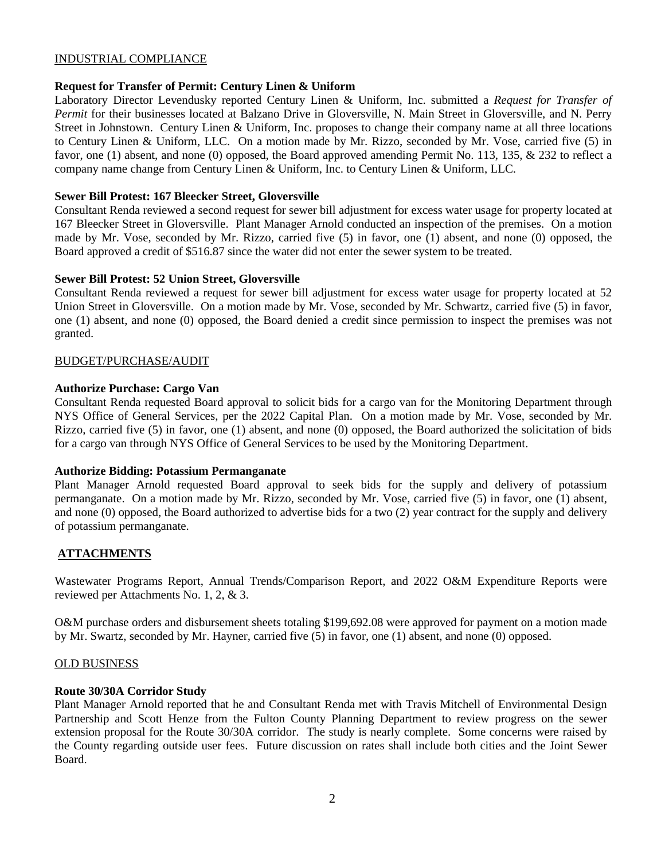### INDUSTRIAL COMPLIANCE

# **Request for Transfer of Permit: Century Linen & Uniform**

Laboratory Director Levendusky reported Century Linen & Uniform, Inc. submitted a *Request for Transfer of Permit* for their businesses located at Balzano Drive in Gloversville, N. Main Street in Gloversville, and N. Perry Street in Johnstown. Century Linen & Uniform, Inc. proposes to change their company name at all three locations to Century Linen & Uniform, LLC. On a motion made by Mr. Rizzo, seconded by Mr. Vose, carried five (5) in favor, one (1) absent, and none (0) opposed, the Board approved amending Permit No. 113, 135, & 232 to reflect a company name change from Century Linen & Uniform, Inc. to Century Linen & Uniform, LLC.

# **Sewer Bill Protest: 167 Bleecker Street, Gloversville**

Consultant Renda reviewed a second request for sewer bill adjustment for excess water usage for property located at 167 Bleecker Street in Gloversville. Plant Manager Arnold conducted an inspection of the premises. On a motion made by Mr. Vose, seconded by Mr. Rizzo, carried five (5) in favor, one (1) absent, and none (0) opposed, the Board approved a credit of \$516.87 since the water did not enter the sewer system to be treated.

# **Sewer Bill Protest: 52 Union Street, Gloversville**

Consultant Renda reviewed a request for sewer bill adjustment for excess water usage for property located at 52 Union Street in Gloversville. On a motion made by Mr. Vose, seconded by Mr. Schwartz, carried five (5) in favor, one (1) absent, and none (0) opposed, the Board denied a credit since permission to inspect the premises was not granted.

# BUDGET/PURCHASE/AUDIT

# **Authorize Purchase: Cargo Van**

Consultant Renda requested Board approval to solicit bids for a cargo van for the Monitoring Department through NYS Office of General Services, per the 2022 Capital Plan. On a motion made by Mr. Vose, seconded by Mr. Rizzo, carried five (5) in favor, one (1) absent, and none (0) opposed, the Board authorized the solicitation of bids for a cargo van through NYS Office of General Services to be used by the Monitoring Department.

# **Authorize Bidding: Potassium Permanganate**

Plant Manager Arnold requested Board approval to seek bids for the supply and delivery of potassium permanganate. On a motion made by Mr. Rizzo, seconded by Mr. Vose, carried five (5) in favor, one (1) absent, and none (0) opposed, the Board authorized to advertise bids for a two (2) year contract for the supply and delivery of potassium permanganate.

# **ATTACHMENTS**

Wastewater Programs Report, Annual Trends/Comparison Report, and 2022 O&M Expenditure Reports were reviewed per Attachments No. 1, 2, & 3.

O&M purchase orders and disbursement sheets totaling \$199,692.08 were approved for payment on a motion made by Mr. Swartz, seconded by Mr. Hayner, carried five (5) in favor, one (1) absent, and none (0) opposed.

#### OLD BUSINESS

# **Route 30/30A Corridor Study**

Plant Manager Arnold reported that he and Consultant Renda met with Travis Mitchell of Environmental Design Partnership and Scott Henze from the Fulton County Planning Department to review progress on the sewer extension proposal for the Route 30/30A corridor. The study is nearly complete. Some concerns were raised by the County regarding outside user fees. Future discussion on rates shall include both cities and the Joint Sewer Board.